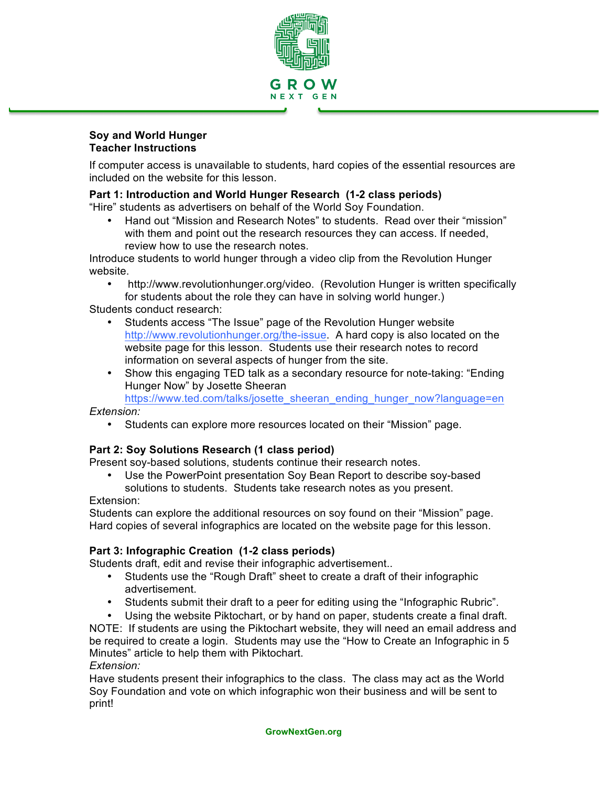

#### **Soy and World Hunger Teacher Instructions**

If computer access is unavailable to students, hard copies of the essential resources are included on the website for this lesson.

## **Part 1: Introduction and World Hunger Research (1-2 class periods)**

"Hire" students as advertisers on behalf of the World Soy Foundation.

• Hand out "Mission and Research Notes" to students. Read over their "mission" with them and point out the research resources they can access. If needed, review how to use the research notes.

Introduce students to world hunger through a video clip from the Revolution Hunger website.

• http://www.revolutionhunger.org/video. (Revolution Hunger is written specifically for students about the role they can have in solving world hunger.)

Students conduct research:

- Students access "The Issue" page of the Revolution Hunger website http://www.revolutionhunger.org/the-issue. A hard copy is also located on the website page for this lesson. Students use their research notes to record information on several aspects of hunger from the site.
- Show this engaging TED talk as a secondary resource for note-taking: "Ending Hunger Now" by Josette Sheeran

https://www.ted.com/talks/josette\_sheeran\_ending\_hunger\_now?language=en

*Extension:* 

• Students can explore more resources located on their "Mission" page.

### **Part 2: Soy Solutions Research (1 class period)**

Present soy-based solutions, students continue their research notes.

• Use the PowerPoint presentation Soy Bean Report to describe soy-based solutions to students. Students take research notes as you present.

### Extension:

Students can explore the additional resources on soy found on their "Mission" page. Hard copies of several infographics are located on the website page for this lesson.

### **Part 3: Infographic Creation (1-2 class periods)**

Students draft, edit and revise their infographic advertisement..

- Students use the "Rough Draft" sheet to create a draft of their infographic advertisement.
- Students submit their draft to a peer for editing using the "Infographic Rubric".
- Using the website Piktochart, or by hand on paper, students create a final draft.

NOTE: If students are using the Piktochart website, they will need an email address and be required to create a login. Students may use the "How to Create an Infographic in 5 Minutes" article to help them with Piktochart. *Extension:* 

Have students present their infographics to the class. The class may act as the World Soy Foundation and vote on which infographic won their business and will be sent to print!